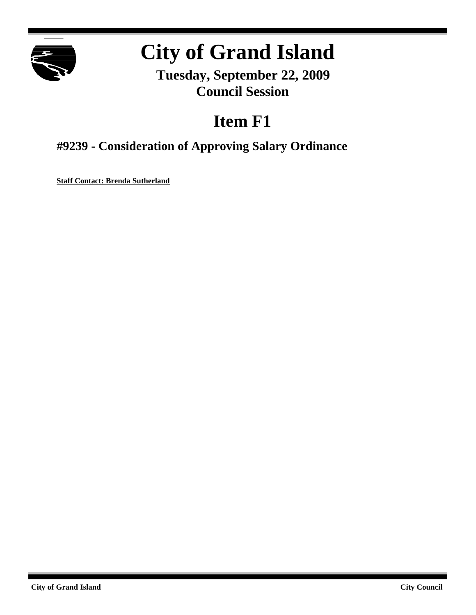

# **City of Grand Island**

**Tuesday, September 22, 2009 Council Session**

# **Item F1**

# **#9239 - Consideration of Approving Salary Ordinance**

**Staff Contact: Brenda Sutherland**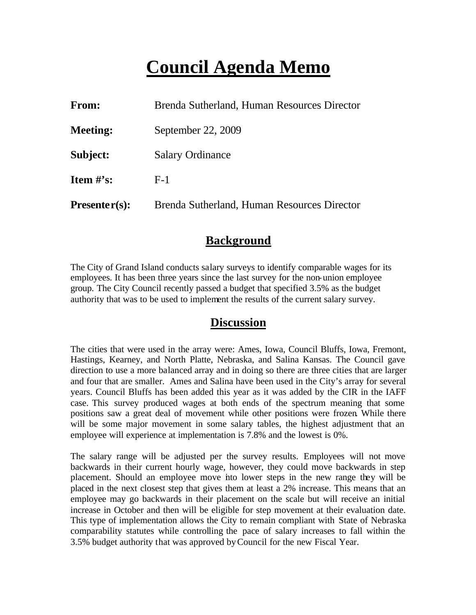# **Council Agenda Memo**

| From:           | Brenda Sutherland, Human Resources Director |
|-----------------|---------------------------------------------|
| <b>Meeting:</b> | September 22, 2009                          |
| Subject:        | <b>Salary Ordinance</b>                     |
| Item $\#$ 's:   | $F-1$                                       |
| $Presenter(s):$ | Brenda Sutherland, Human Resources Director |

# **Background**

The City of Grand Island conducts salary surveys to identify comparable wages for its employees. It has been three years since the last survey for the non-union employee group. The City Council recently passed a budget that specified 3.5% as the budget authority that was to be used to implement the results of the current salary survey.

# **Discussion**

The cities that were used in the array were: Ames, Iowa, Council Bluffs, Iowa, Fremont, Hastings, Kearney, and North Platte, Nebraska, and Salina Kansas. The Council gave direction to use a more balanced array and in doing so there are three cities that are larger and four that are smaller. Ames and Salina have been used in the City's array for several years. Council Bluffs has been added this year as it was added by the CIR in the IAFF case. This survey produced wages at both ends of the spectrum meaning that some positions saw a great deal of movement while other positions were frozen. While there will be some major movement in some salary tables, the highest adjustment that an employee will experience at implementation is 7.8% and the lowest is 0%.

The salary range will be adjusted per the survey results. Employees will not move backwards in their current hourly wage, however, they could move backwards in step placement. Should an employee move into lower steps in the new range they will be placed in the next closest step that gives them at least a 2% increase. This means that an employee may go backwards in their placement on the scale but will receive an initial increase in October and then will be eligible for step movement at their evaluation date. This type of implementation allows the City to remain compliant with State of Nebraska comparability statutes while controlling the pace of salary increases to fall within the 3.5% budget authority that was approved byCouncil for the new Fiscal Year.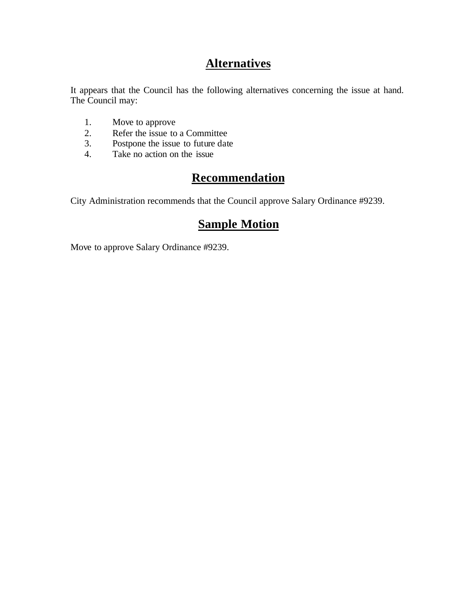# **Alternatives**

It appears that the Council has the following alternatives concerning the issue at hand. The Council may:

- 1. Move to approve
- 2. Refer the issue to a Committee<br>3. Postpone the issue to future date
- Postpone the issue to future date
- 4. Take no action on the issue

# **Recommendation**

City Administration recommends that the Council approve Salary Ordinance #9239.

# **Sample Motion**

Move to approve Salary Ordinance #9239.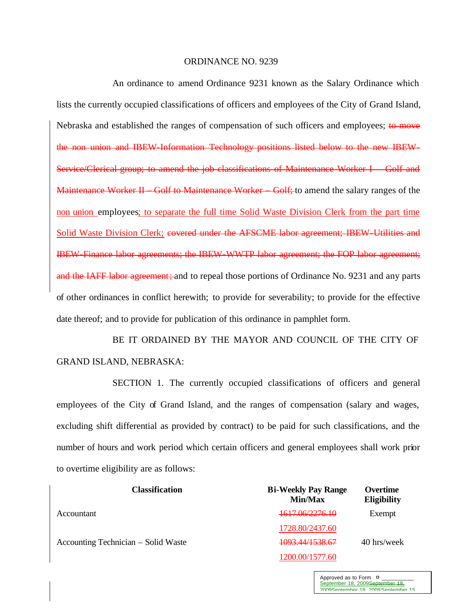#### ORDINANCE NO. 9239

An ordinance to amend Ordinance 9231 known as the Salary Ordinance which lists the currently occupied classifications of officers and employees of the City of Grand Island, Nebraska and established the ranges of compensation of such officers and employees; to move the non union and IBEW-Information Technology positions listed below to the new IBEW-Service/Clerical group; to amend the job classifications of Maintenance Worker I – Golf and Maintenance Worker II Golf to Maintenance Worker Golf; to amend the salary ranges of the non union employees; to separate the full time Solid Waste Division Clerk from the part time Solid Waste Division Clerk; covered under the AFSCME labor agreement; IBEW-Utilities and IBEW-Finance labor agreements; the IBEW-WWTP labor agreement; the FOP labor agreement; and the IAFF labor agreement; and to repeal those portions of Ordinance No. 9231 and any parts of other ordinances in conflict herewith; to provide for severability; to provide for the effective date thereof; and to provide for publication of this ordinance in pamphlet form.

BE IT ORDAINED BY THE MAYOR AND COUNCIL OF THE CITY OF GRAND ISLAND, NEBRASKA:

SECTION 1. The currently occupied classifications of officers and general employees of the City of Grand Island, and the ranges of compensation (salary and wages, excluding shift differential as provided by contract) to be paid for such classifications, and the number of hours and work period which certain officers and general employees shall work prior to overtime eligibility are as follows:

| <b>Classification</b>               | <b>Bi-Weekly Pay Range</b><br>Min/Max | Overtime<br><b>Eligibility</b> |
|-------------------------------------|---------------------------------------|--------------------------------|
| Accountant                          | 1617.06/2276.10                       | Exempt                         |
|                                     | 1728.80/2437.60                       |                                |
| Accounting Technician – Solid Waste | 1093.44/1538.67                       | 40 hrs/week                    |
|                                     | 1200.00/1577.60                       |                                |

Approved as to Form  $\overline{a}$ September 18, 2009September 18, 2009September 18, 2009 September 15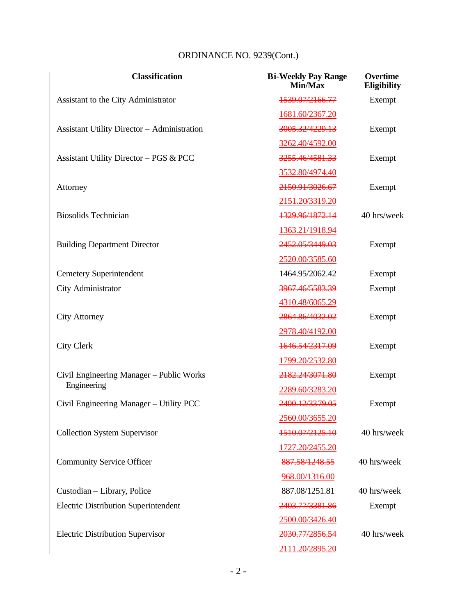| <b>Classification</b>                              | <b>Bi-Weekly Pay Range</b><br>Min/Max | <b>Overtime</b><br><b>Eligibility</b> |
|----------------------------------------------------|---------------------------------------|---------------------------------------|
| Assistant to the City Administrator                | 1539.07/2166.77                       | Exempt                                |
|                                                    | 1681.60/2367.20                       |                                       |
| <b>Assistant Utility Director - Administration</b> | 3005.32/4229.13                       | Exempt                                |
|                                                    | 3262.40/4592.00                       |                                       |
| Assistant Utility Director - PGS & PCC             | 3255.46/4581.33                       | Exempt                                |
|                                                    | 3532.80/4974.40                       |                                       |
| Attorney                                           | 2150.91/3026.67                       | Exempt                                |
|                                                    | 2151.20/3319.20                       |                                       |
| <b>Biosolids Technician</b>                        | 1329.96/1872.14                       | 40 hrs/week                           |
|                                                    | 1363.21/1918.94                       |                                       |
| <b>Building Department Director</b>                | 2452.05/3449.03                       | Exempt                                |
|                                                    | 2520.00/3585.60                       |                                       |
| <b>Cemetery Superintendent</b>                     | 1464.95/2062.42                       | Exempt                                |
| City Administrator                                 | 3967.46/5583.39                       | Exempt                                |
|                                                    | 4310.48/6065.29                       |                                       |
| <b>City Attorney</b>                               | 2864.86/4032.02                       | Exempt                                |
|                                                    | 2978.40/4192.00                       |                                       |
| <b>City Clerk</b>                                  | 1646.54/2317.09                       | Exempt                                |
|                                                    | 1799.20/2532.80                       |                                       |
| Civil Engineering Manager - Public Works           | 2182.24/3071.80                       | Exempt                                |
| Engineering                                        | 2289.60/3283.20                       |                                       |
| Civil Engineering Manager - Utility PCC            | 2400.12/3379.05                       | Exempt                                |
|                                                    | 2560.00/3655.20                       |                                       |
| <b>Collection System Supervisor</b>                | 1510.07/2125.10                       | 40 hrs/week                           |
|                                                    | 1727.20/2455.20                       |                                       |
| <b>Community Service Officer</b>                   | 887.58/1248.55                        | 40 hrs/week                           |
|                                                    | 968.00/1316.00                        |                                       |
| Custodian - Library, Police                        | 887.08/1251.81                        | 40 hrs/week                           |
| <b>Electric Distribution Superintendent</b>        | 2403.77/3381.86                       | Exempt                                |
|                                                    | 2500.00/3426.40                       |                                       |
| <b>Electric Distribution Supervisor</b>            | 2030.77/2856.54                       | 40 hrs/week                           |
|                                                    | 2111.20/2895.20                       |                                       |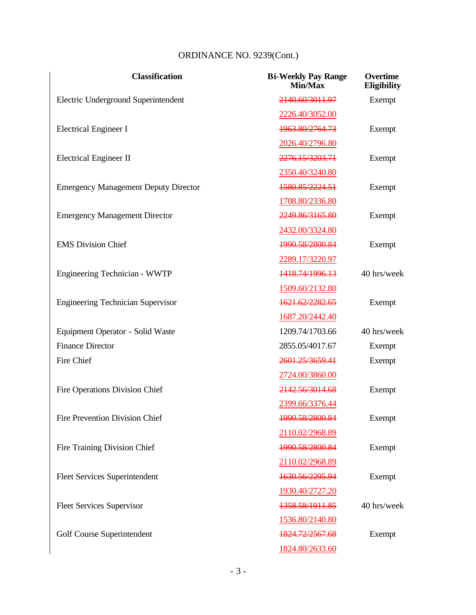| <b>Classification</b>                       | <b>Bi-Weekly Pay Range</b><br>Min/Max | Overtime<br><b>Eligibility</b> |
|---------------------------------------------|---------------------------------------|--------------------------------|
| Electric Underground Superintendent         | 2140.60/3011.97                       | Exempt                         |
|                                             | 2226.40/3052.00                       |                                |
| <b>Electrical Engineer I</b>                | 1963.80/2764.73                       | Exempt                         |
|                                             | 2026.40/2796.80                       |                                |
| <b>Electrical Engineer II</b>               | 2276.15/3203.71                       | Exempt                         |
|                                             | 2350.40/3240.80                       |                                |
| <b>Emergency Management Deputy Director</b> | 1580.85/2224.51                       | Exempt                         |
|                                             | 1708.80/2336.80                       |                                |
| <b>Emergency Management Director</b>        | 2249.86/3165.80                       | Exempt                         |
|                                             | 2432.00/3324.80                       |                                |
| <b>EMS</b> Division Chief                   | 1990.58/2800.84                       | Exempt                         |
|                                             | 2289.17/3220.97                       |                                |
| Engineering Technician - WWTP               | 1418.74/1996.13                       | 40 hrs/week                    |
|                                             | 1509.60/2132.80                       |                                |
| <b>Engineering Technician Supervisor</b>    | 1621.62/2282.65                       | Exempt                         |
|                                             | 1687.20/2442.40                       |                                |
| Equipment Operator - Solid Waste            | 1209.74/1703.66                       | 40 hrs/week                    |
| <b>Finance Director</b>                     | 2855.05/4017.67                       | Exempt                         |
| Fire Chief                                  | 2601.25/3659.41                       | Exempt                         |
|                                             | 2724.00/3860.00                       |                                |
| <b>Fire Operations Division Chief</b>       | 2142.56/3014.68                       | Exempt                         |
|                                             | 2399.66/3376.44                       |                                |
| Fire Prevention Division Chief              | 1990.58/2800.84                       | Exempt                         |
|                                             | 2110.02/2968.89                       |                                |
| Fire Training Division Chief                | 1990.58/2800.84                       | Exempt                         |
|                                             | 2110.02/2968.89                       |                                |
| <b>Fleet Services Superintendent</b>        | 1630.56/2295.94                       | Exempt                         |
|                                             | 1930.40/2727.20                       |                                |
| <b>Fleet Services Supervisor</b>            | 1358.58/1911.85                       | 40 hrs/week                    |
|                                             | 1536.80/2140.80                       |                                |
| Golf Course Superintendent                  | 1824.72/2567.68                       | Exempt                         |
|                                             | 1824.80/2633.60                       |                                |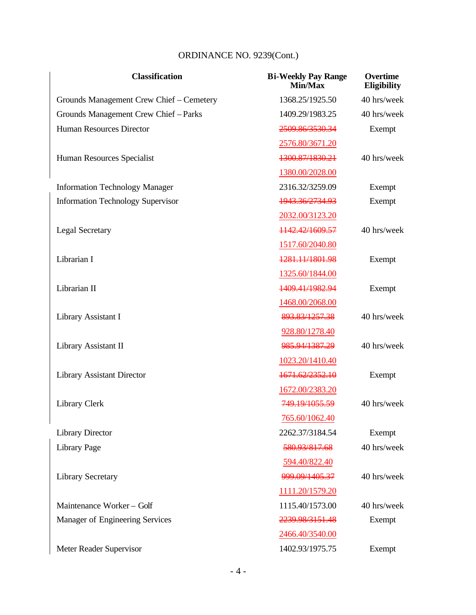| <b>Classification</b>                    | <b>Bi-Weekly Pay Range</b><br><b>Min/Max</b> | Overtime<br><b>Eligibility</b> |
|------------------------------------------|----------------------------------------------|--------------------------------|
| Grounds Management Crew Chief – Cemetery | 1368.25/1925.50                              | 40 hrs/week                    |
| Grounds Management Crew Chief - Parks    | 1409.29/1983.25                              | 40 hrs/week                    |
| <b>Human Resources Director</b>          | 2509.86/3530.34                              | Exempt                         |
|                                          | 2576.80/3671.20                              |                                |
| Human Resources Specialist               | 1300.87/1830.21                              | 40 hrs/week                    |
|                                          | 1380.00/2028.00                              |                                |
| <b>Information Technology Manager</b>    | 2316.32/3259.09                              | Exempt                         |
| <b>Information Technology Supervisor</b> | 1943.36/2734.93                              | Exempt                         |
|                                          | 2032.00/3123.20                              |                                |
| <b>Legal Secretary</b>                   | 1142.42/1609.57                              | 40 hrs/week                    |
|                                          | 1517.60/2040.80                              |                                |
| Librarian I                              | 1281.11/1801.98                              | Exempt                         |
|                                          | 1325.60/1844.00                              |                                |
| Librarian II                             | 1409.41/1982.94                              | Exempt                         |
|                                          | 1468.00/2068.00                              |                                |
| Library Assistant I                      | 893.83/1257.38                               | 40 hrs/week                    |
|                                          | 928.80/1278.40                               |                                |
| Library Assistant II                     | 985.94/1387.29                               | 40 hrs/week                    |
|                                          | 1023.20/1410.40                              |                                |
| <b>Library Assistant Director</b>        | 1671.62/2352.10                              | Exempt                         |
|                                          | 1672.00/2383.20                              |                                |
| Library Clerk                            | 749.19/1055.59                               | 40 hrs/week                    |
|                                          | 765.60/1062.40                               |                                |
| <b>Library Director</b>                  | 2262.37/3184.54                              | Exempt                         |
| Library Page                             | 580.93/817.68                                | 40 hrs/week                    |
|                                          | 594.40/822.40                                |                                |
| <b>Library Secretary</b>                 | 999.09/1405.37                               | 40 hrs/week                    |
|                                          | 1111.20/1579.20                              |                                |
| Maintenance Worker - Golf                | 1115.40/1573.00                              | 40 hrs/week                    |
| Manager of Engineering Services          | 2239.98/3151.48                              | Exempt                         |
|                                          | 2466.40/3540.00                              |                                |
| Meter Reader Supervisor                  | 1402.93/1975.75                              | Exempt                         |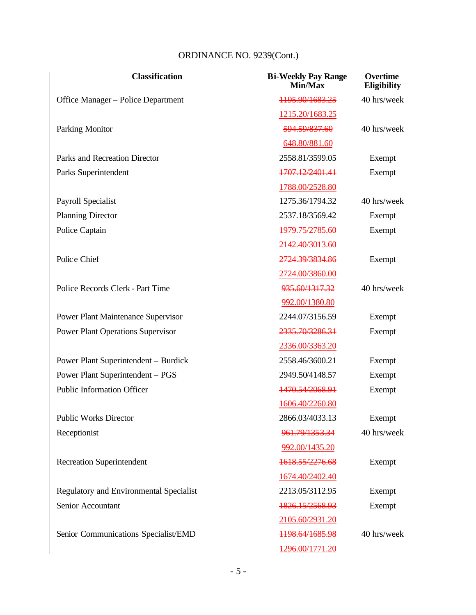| <b>Classification</b>                       | <b>Bi-Weekly Pay Range</b><br>Min/Max | Overtime<br><b>Eligibility</b> |
|---------------------------------------------|---------------------------------------|--------------------------------|
| Office Manager - Police Department          | 1195.90/1683.25                       | 40 hrs/week                    |
|                                             | 1215.20/1683.25                       |                                |
| <b>Parking Monitor</b>                      | 594.59/837.60                         | 40 hrs/week                    |
|                                             | 648.80/881.60                         |                                |
| Parks and Recreation Director               | 2558.81/3599.05                       | Exempt                         |
| Parks Superintendent                        | 1707.12/2401.41                       | Exempt                         |
|                                             | 1788.00/2528.80                       |                                |
| Payroll Specialist                          | 1275.36/1794.32                       | 40 hrs/week                    |
| <b>Planning Director</b>                    | 2537.18/3569.42                       | Exempt                         |
| Police Captain                              | 1979.75/2785.60                       | Exempt                         |
|                                             | 2142.40/3013.60                       |                                |
| Police Chief                                | 2724.39/3834.86                       | Exempt                         |
|                                             | 2724.00/3860.00                       |                                |
| Police Records Clerk - Part Time            | 935.60/1317.32                        | 40 hrs/week                    |
|                                             | 992.00/1380.80                        |                                |
| <b>Power Plant Maintenance Supervisor</b>   | 2244.07/3156.59                       | Exempt                         |
| <b>Power Plant Operations Supervisor</b>    | 2335.70/3286.31                       | Exempt                         |
|                                             | 2336.00/3363.20                       |                                |
| <b>Power Plant Superintendent – Burdick</b> | 2558.46/3600.21                       | Exempt                         |
| Power Plant Superintendent - PGS            | 2949.50/4148.57                       | Exempt                         |
| <b>Public Information Officer</b>           | 1470.54/2068.91                       | Exempt                         |
|                                             | 1606.40/2260.80                       |                                |
| <b>Public Works Director</b>                | 2866.03/4033.13                       | Exempt                         |
| Receptionist                                | 961.79/1353.34                        | 40 hrs/week                    |
|                                             | 992.00/1435.20                        |                                |
| <b>Recreation Superintendent</b>            | 1618.55/2276.68                       | Exempt                         |
|                                             | 1674.40/2402.40                       |                                |
| Regulatory and Environmental Specialist     | 2213.05/3112.95                       | Exempt                         |
| Senior Accountant                           | 1826.15/2568.93                       | Exempt                         |
|                                             | 2105.60/2931.20                       |                                |
| Senior Communications Specialist/EMD        | 1198.64/1685.98                       | 40 hrs/week                    |
|                                             | 1296.00/1771.20                       |                                |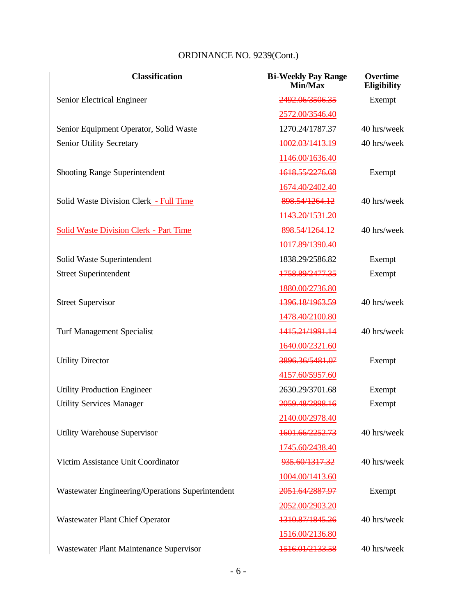| <b>Classification</b>                            | <b>Bi-Weekly Pay Range</b><br>Min/Max | Overtime<br><b>Eligibility</b> |
|--------------------------------------------------|---------------------------------------|--------------------------------|
| Senior Electrical Engineer                       | 2492.06/3506.35                       | Exempt                         |
|                                                  | 2572.00/3546.40                       |                                |
| Senior Equipment Operator, Solid Waste           | 1270.24/1787.37                       | 40 hrs/week                    |
| <b>Senior Utility Secretary</b>                  | 1002.03/1413.19                       | 40 hrs/week                    |
|                                                  | 1146.00/1636.40                       |                                |
| <b>Shooting Range Superintendent</b>             | 1618.55/2276.68                       | Exempt                         |
|                                                  | 1674.40/2402.40                       |                                |
| Solid Waste Division Clerk - Full Time           | 898.54/1264.12                        | 40 hrs/week                    |
|                                                  | 1143.20/1531.20                       |                                |
| <b>Solid Waste Division Clerk - Part Time</b>    | 898.54/1264.12                        | 40 hrs/week                    |
|                                                  | 1017.89/1390.40                       |                                |
| Solid Waste Superintendent                       | 1838.29/2586.82                       | Exempt                         |
| <b>Street Superintendent</b>                     | 1758.89/2477.35                       | Exempt                         |
|                                                  | 1880.00/2736.80                       |                                |
| <b>Street Supervisor</b>                         | 1396.18/1963.59                       | 40 hrs/week                    |
|                                                  | 1478.40/2100.80                       |                                |
| <b>Turf Management Specialist</b>                | 1415.21/1991.14                       | 40 hrs/week                    |
|                                                  | 1640.00/2321.60                       |                                |
| <b>Utility Director</b>                          | 3896.36/5481.07                       | Exempt                         |
|                                                  | 4157.60/5957.60                       |                                |
| <b>Utility Production Engineer</b>               | 2630.29/3701.68                       | Exempt                         |
| <b>Utility Services Manager</b>                  | 2059.48/2898.16                       | Exempt                         |
|                                                  | 2140.00/2978.40                       |                                |
| Utility Warehouse Supervisor                     | 1601.66/2252.73                       | 40 hrs/week                    |
|                                                  | 1745.60/2438.40                       |                                |
| Victim Assistance Unit Coordinator               | 935.60/1317.32                        | 40 hrs/week                    |
|                                                  | 1004.00/1413.60                       |                                |
| Wastewater Engineering/Operations Superintendent | 2051.64/2887.97                       | Exempt                         |
|                                                  | 2052.00/2903.20                       |                                |
| <b>Wastewater Plant Chief Operator</b>           | 1310.87/1845.26                       | 40 hrs/week                    |
|                                                  | 1516.00/2136.80                       |                                |
| Wastewater Plant Maintenance Supervisor          | 1516.01/2133.58                       | 40 hrs/week                    |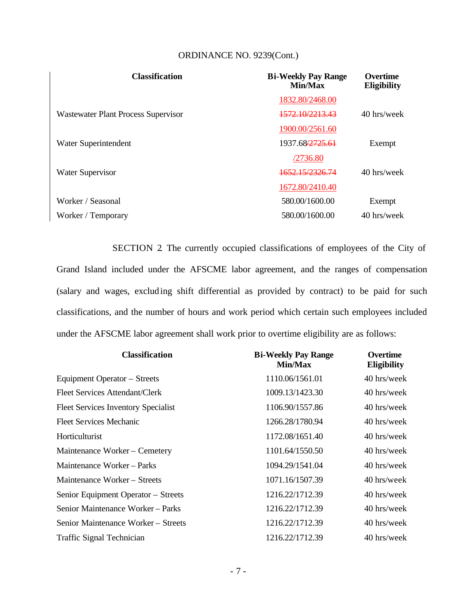| <b>Classification</b>               | <b>Bi-Weekly Pay Range</b><br>Min/Max | <b>Overtime</b><br><b>Eligibility</b> |
|-------------------------------------|---------------------------------------|---------------------------------------|
|                                     | 1832.80/2468.00                       |                                       |
| Wastewater Plant Process Supervisor | 1572.10/2213.43                       | 40 hrs/week                           |
|                                     | 1900.00/2561.60                       |                                       |
| Water Superintendent                | 1937.68/2725.61                       | Exempt                                |
|                                     | /2736.80                              |                                       |
| <b>Water Supervisor</b>             | <del>1652.15/2326.74</del>            | 40 hrs/week                           |
|                                     | 1672.80/2410.40                       |                                       |
| Worker / Seasonal                   | 580.00/1600.00                        | Exempt                                |
| Worker / Temporary                  | 580,00/1600,00                        | 40 hrs/week                           |

SECTION 2. The currently occupied classifications of employees of the City of Grand Island included under the AFSCME labor agreement, and the ranges of compensation (salary and wages, excluding shift differential as provided by contract) to be paid for such classifications, and the number of hours and work period which certain such employees included under the AFSCME labor agreement shall work prior to overtime eligibility are as follows:

| <b>Classification</b>                      | <b>Bi-Weekly Pay Range</b><br>Min/Max | <b>Overtime</b><br><b>Eligibility</b> |
|--------------------------------------------|---------------------------------------|---------------------------------------|
| Equipment Operator – Streets               | 1110.06/1561.01                       | 40 hrs/week                           |
| <b>Fleet Services Attendant/Clerk</b>      | 1009.13/1423.30                       | 40 hrs/week                           |
| <b>Fleet Services Inventory Specialist</b> | 1106.90/1557.86                       | 40 hrs/week                           |
| <b>Fleet Services Mechanic</b>             | 1266.28/1780.94                       | 40 hrs/week                           |
| Horticulturist                             | 1172.08/1651.40                       | 40 hrs/week                           |
| Maintenance Worker – Cemetery              | 1101.64/1550.50                       | 40 hrs/week                           |
| Maintenance Worker – Parks                 | 1094.29/1541.04                       | 40 hrs/week                           |
| Maintenance Worker - Streets               | 1071.16/1507.39                       | 40 hrs/week                           |
| Senior Equipment Operator - Streets        | 1216.22/1712.39                       | 40 hrs/week                           |
| Senior Maintenance Worker – Parks          | 1216.22/1712.39                       | 40 hrs/week                           |
| Senior Maintenance Worker - Streets        | 1216.22/1712.39                       | 40 hrs/week                           |
| Traffic Signal Technician                  | 1216.22/1712.39                       | 40 hrs/week                           |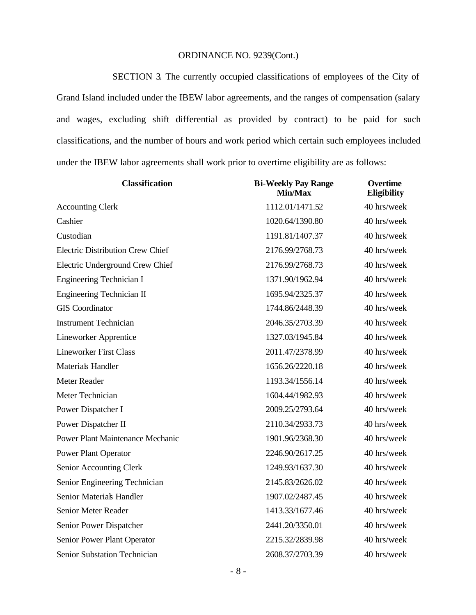SECTION 3. The currently occupied classifications of employees of the City of Grand Island included under the IBEW labor agreements, and the ranges of compensation (salary and wages, excluding shift differential as provided by contract) to be paid for such classifications, and the number of hours and work period which certain such employees included under the IBEW labor agreements shall work prior to overtime eligibility are as follows:

| <b>Classification</b>                   | <b>Bi-Weekly Pay Range</b><br>Min/Max | <b>Overtime</b><br><b>Eligibility</b> |
|-----------------------------------------|---------------------------------------|---------------------------------------|
| <b>Accounting Clerk</b>                 | 1112.01/1471.52                       | 40 hrs/week                           |
| Cashier                                 | 1020.64/1390.80                       | 40 hrs/week                           |
| Custodian                               | 1191.81/1407.37                       | 40 hrs/week                           |
| <b>Electric Distribution Crew Chief</b> | 2176.99/2768.73                       | 40 hrs/week                           |
| Electric Underground Crew Chief         | 2176.99/2768.73                       | 40 hrs/week                           |
| <b>Engineering Technician I</b>         | 1371.90/1962.94                       | 40 hrs/week                           |
| <b>Engineering Technician II</b>        | 1695.94/2325.37                       | 40 hrs/week                           |
| <b>GIS</b> Coordinator                  | 1744.86/2448.39                       | 40 hrs/week                           |
| <b>Instrument Technician</b>            | 2046.35/2703.39                       | 40 hrs/week                           |
| <b>Lineworker Apprentice</b>            | 1327.03/1945.84                       | 40 hrs/week                           |
| <b>Lineworker First Class</b>           | 2011.47/2378.99                       | 40 hrs/week                           |
| <b>Materials Handler</b>                | 1656.26/2220.18                       | 40 hrs/week                           |
| Meter Reader                            | 1193.34/1556.14                       | 40 hrs/week                           |
| Meter Technician                        | 1604.44/1982.93                       | 40 hrs/week                           |
| Power Dispatcher I                      | 2009.25/2793.64                       | 40 hrs/week                           |
| Power Dispatcher II                     | 2110.34/2933.73                       | 40 hrs/week                           |
| <b>Power Plant Maintenance Mechanic</b> | 1901.96/2368.30                       | 40 hrs/week                           |
| <b>Power Plant Operator</b>             | 2246.90/2617.25                       | 40 hrs/week                           |
| Senior Accounting Clerk                 | 1249.93/1637.30                       | 40 hrs/week                           |
| Senior Engineering Technician           | 2145.83/2626.02                       | 40 hrs/week                           |
| Senior Material Handler                 | 1907.02/2487.45                       | 40 hrs/week                           |
| Senior Meter Reader                     | 1413.33/1677.46                       | 40 hrs/week                           |
| Senior Power Dispatcher                 | 2441.20/3350.01                       | 40 hrs/week                           |
| Senior Power Plant Operator             | 2215.32/2839.98                       | 40 hrs/week                           |
| Senior Substation Technician            | 2608.37/2703.39                       | 40 hrs/week                           |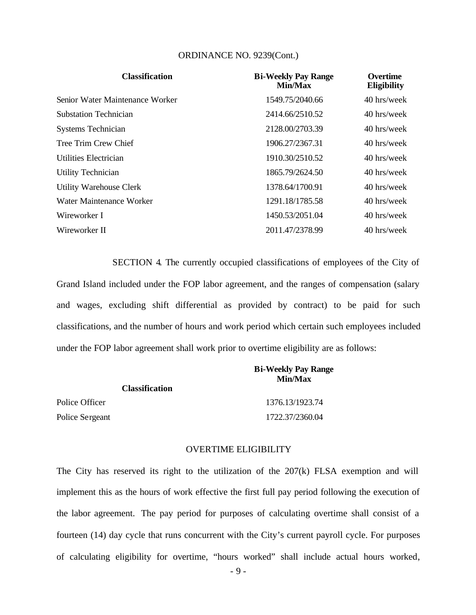| <b>Classification</b>           | <b>Bi-Weekly Pay Range</b><br>Min/Max | <b>Overtime</b><br><b>Eligibility</b> |
|---------------------------------|---------------------------------------|---------------------------------------|
| Senior Water Maintenance Worker | 1549.75/2040.66                       | 40 hrs/week                           |
| <b>Substation Technician</b>    | 2414.66/2510.52                       | 40 hrs/week                           |
| <b>Systems Technician</b>       | 2128.00/2703.39                       | 40 hrs/week                           |
| Tree Trim Crew Chief            | 1906.27/2367.31                       | 40 hrs/week                           |
| Utilities Electrician           | 1910.30/2510.52                       | 40 hrs/week                           |
| Utility Technician              | 1865.79/2624.50                       | 40 hrs/week                           |
| <b>Utility Warehouse Clerk</b>  | 1378.64/1700.91                       | 40 hrs/week                           |
| Water Maintenance Worker        | 1291.18/1785.58                       | 40 hrs/week                           |
| Wireworker I                    | 1450.53/2051.04                       | 40 hrs/week                           |
| Wireworker II                   | 2011.47/2378.99                       | 40 hrs/week                           |

SECTION 4. The currently occupied classifications of employees of the City of Grand Island included under the FOP labor agreement, and the ranges of compensation (salary and wages, excluding shift differential as provided by contract) to be paid for such classifications, and the number of hours and work period which certain such employees included under the FOP labor agreement shall work prior to overtime eligibility are as follows:

|                       | <b>Bi-Weekly Pay Range</b><br>Min/Max |
|-----------------------|---------------------------------------|
| <b>Classification</b> |                                       |
| Police Officer        | 1376.13/1923.74                       |
| Police Sergeant       | 1722.37/2360.04                       |

#### OVERTIME ELIGIBILITY

The City has reserved its right to the utilization of the 207(k) FLSA exemption and will implement this as the hours of work effective the first full pay period following the execution of the labor agreement. The pay period for purposes of calculating overtime shall consist of a fourteen (14) day cycle that runs concurrent with the City's current payroll cycle. For purposes of calculating eligibility for overtime, "hours worked" shall include actual hours worked,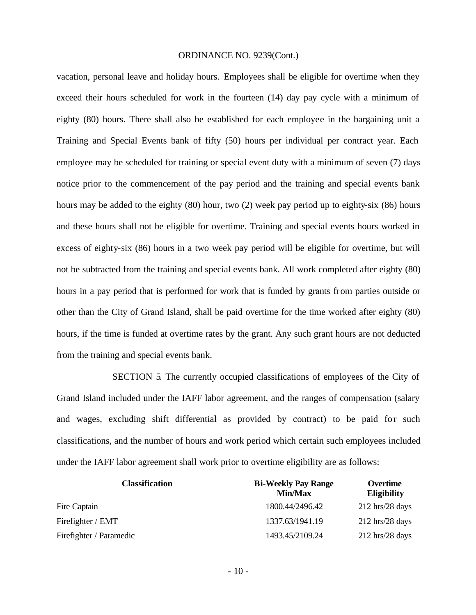vacation, personal leave and holiday hours. Employees shall be eligible for overtime when they exceed their hours scheduled for work in the fourteen (14) day pay cycle with a minimum of eighty (80) hours. There shall also be established for each employee in the bargaining unit a Training and Special Events bank of fifty (50) hours per individual per contract year. Each employee may be scheduled for training or special event duty with a minimum of seven (7) days notice prior to the commencement of the pay period and the training and special events bank hours may be added to the eighty (80) hour, two (2) week pay period up to eighty-six (86) hours and these hours shall not be eligible for overtime. Training and special events hours worked in excess of eighty-six (86) hours in a two week pay period will be eligible for overtime, but will not be subtracted from the training and special events bank. All work completed after eighty (80) hours in a pay period that is performed for work that is funded by grants from parties outside or other than the City of Grand Island, shall be paid overtime for the time worked after eighty (80) hours, if the time is funded at overtime rates by the grant. Any such grant hours are not deducted from the training and special events bank.

SECTION 5. The currently occupied classifications of employees of the City of Grand Island included under the IAFF labor agreement, and the ranges of compensation (salary and wages, excluding shift differential as provided by contract) to be paid for such classifications, and the number of hours and work period which certain such employees included under the IAFF labor agreement shall work prior to overtime eligibility are as follows:

| <b>Classification</b>   | <b>Bi-Weekly Pay Range</b><br>Min/Max | Overtime<br><b>Eligibility</b>    |
|-------------------------|---------------------------------------|-----------------------------------|
| Fire Captain            | 1800.44/2496.42                       | $212 \text{ hrs}/28 \text{ days}$ |
| Firefighter / EMT       | 1337.63/1941.19                       | $212 \text{ hrs}/28 \text{ days}$ |
| Firefighter / Paramedic | 1493.45/2109.24                       | $212 \text{ hrs}/28 \text{ days}$ |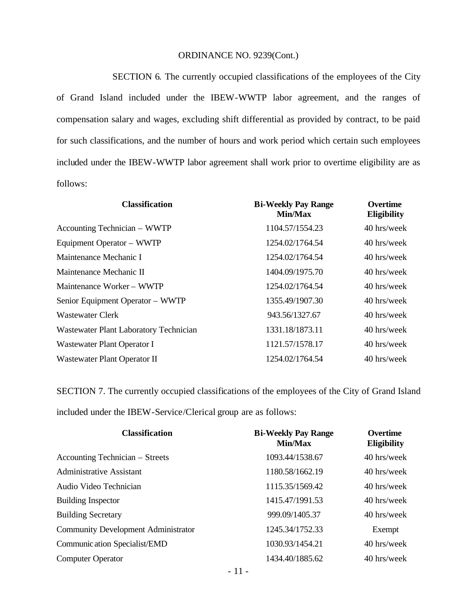SECTION 6. The currently occupied classifications of the employees of the City of Grand Island included under the IBEW-WWTP labor agreement, and the ranges of compensation salary and wages, excluding shift differential as provided by contract, to be paid for such classifications, and the number of hours and work period which certain such employees included under the IBEW-WWTP labor agreement shall work prior to overtime eligibility are as follows:

| <b>Classification</b>                  | <b>Bi-Weekly Pay Range</b><br><b>Min/Max</b> | <b>Overtime</b><br><b>Eligibility</b> |
|----------------------------------------|----------------------------------------------|---------------------------------------|
| Accounting Technician – WWTP           | 1104.57/1554.23                              | 40 hrs/week                           |
| Equipment Operator – WWTP              | 1254.02/1764.54                              | 40 hrs/week                           |
| Maintenance Mechanic I                 | 1254.02/1764.54                              | 40 hrs/week                           |
| Maintenance Mechanic II                | 1404.09/1975.70                              | 40 hrs/week                           |
| Maintenance Worker – WWTP              | 1254.02/1764.54                              | 40 hrs/week                           |
| Senior Equipment Operator - WWTP       | 1355.49/1907.30                              | 40 hrs/week                           |
| Wastewater Clerk                       | 943.56/1327.67                               | 40 hrs/week                           |
| Wastewater Plant Laboratory Technician | 1331.18/1873.11                              | 40 hrs/week                           |
| Wastewater Plant Operator I            | 1121.57/1578.17                              | 40 hrs/week                           |
| Wastewater Plant Operator II           | 1254.02/1764.54                              | 40 hrs/week                           |

SECTION 7. The currently occupied classifications of the employees of the City of Grand Island included under the IBEW-Service/Clerical group are as follows:

| <b>Classification</b>                      | <b>Bi-Weekly Pay Range</b><br><b>Min/Max</b> | <b>Overtime</b><br><b>Eligibility</b> |
|--------------------------------------------|----------------------------------------------|---------------------------------------|
| Accounting Technician – Streets            | 1093.44/1538.67                              | 40 hrs/week                           |
| <b>Administrative Assistant</b>            | 1180.58/1662.19                              | 40 hrs/week                           |
| Audio Video Technician                     | 1115.35/1569.42                              | 40 hrs/week                           |
| <b>Building Inspector</b>                  | 1415.47/1991.53                              | 40 hrs/week                           |
| <b>Building Secretary</b>                  | 999.09/1405.37                               | 40 hrs/week                           |
| <b>Community Development Administrator</b> | 1245.34/1752.33                              | Exempt                                |
| Communic ation Specialist/EMD              | 1030.93/1454.21                              | 40 hrs/week                           |
| <b>Computer Operator</b>                   | 1434.40/1885.62                              | 40 hrs/week                           |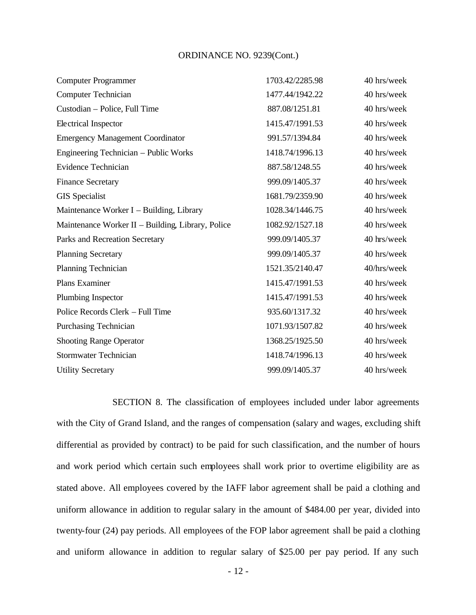| <b>Computer Programmer</b>                        | 1703.42/2285.98 | 40 hrs/week |
|---------------------------------------------------|-----------------|-------------|
| <b>Computer Technician</b>                        | 1477.44/1942.22 | 40 hrs/week |
| Custodian - Police, Full Time                     | 887.08/1251.81  | 40 hrs/week |
| Electrical Inspector                              | 1415.47/1991.53 | 40 hrs/week |
| <b>Emergency Management Coordinator</b>           | 991.57/1394.84  | 40 hrs/week |
| Engineering Technician - Public Works             | 1418.74/1996.13 | 40 hrs/week |
| <b>Evidence Technician</b>                        | 887.58/1248.55  | 40 hrs/week |
| <b>Finance Secretary</b>                          | 999.09/1405.37  | 40 hrs/week |
| <b>GIS</b> Specialist                             | 1681.79/2359.90 | 40 hrs/week |
| Maintenance Worker I - Building, Library          | 1028.34/1446.75 | 40 hrs/week |
| Maintenance Worker II - Building, Library, Police | 1082.92/1527.18 | 40 hrs/week |
| Parks and Recreation Secretary                    | 999.09/1405.37  | 40 hrs/week |
| <b>Planning Secretary</b>                         | 999.09/1405.37  | 40 hrs/week |
| <b>Planning Technician</b>                        | 1521.35/2140.47 | 40/hrs/week |
| Plans Examiner                                    | 1415.47/1991.53 | 40 hrs/week |
| Plumbing Inspector                                | 1415.47/1991.53 | 40 hrs/week |
| Police Records Clerk - Full Time                  | 935.60/1317.32  | 40 hrs/week |
| Purchasing Technician                             | 1071.93/1507.82 | 40 hrs/week |
| <b>Shooting Range Operator</b>                    | 1368.25/1925.50 | 40 hrs/week |
| <b>Stormwater Technician</b>                      | 1418.74/1996.13 | 40 hrs/week |
| <b>Utility Secretary</b>                          | 999.09/1405.37  | 40 hrs/week |
|                                                   |                 |             |

SECTION 8. The classification of employees included under labor agreements with the City of Grand Island, and the ranges of compensation (salary and wages, excluding shift differential as provided by contract) to be paid for such classification, and the number of hours and work period which certain such employees shall work prior to overtime eligibility are as stated above. All employees covered by the IAFF labor agreement shall be paid a clothing and uniform allowance in addition to regular salary in the amount of \$484.00 per year, divided into twenty-four (24) pay periods. All employees of the FOP labor agreement shall be paid a clothing and uniform allowance in addition to regular salary of \$25.00 per pay period. If any such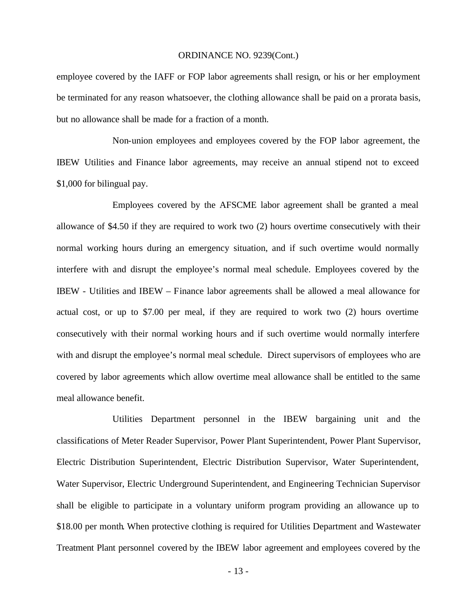employee covered by the IAFF or FOP labor agreements shall resign, or his or her employment be terminated for any reason whatsoever, the clothing allowance shall be paid on a prorata basis, but no allowance shall be made for a fraction of a month.

Non-union employees and employees covered by the FOP labor agreement, the IBEW Utilities and Finance labor agreements, may receive an annual stipend not to exceed \$1,000 for bilingual pay.

Employees covered by the AFSCME labor agreement shall be granted a meal allowance of \$4.50 if they are required to work two (2) hours overtime consecutively with their normal working hours during an emergency situation, and if such overtime would normally interfere with and disrupt the employee's normal meal schedule. Employees covered by the IBEW - Utilities and IBEW – Finance labor agreements shall be allowed a meal allowance for actual cost, or up to \$7.00 per meal, if they are required to work two (2) hours overtime consecutively with their normal working hours and if such overtime would normally interfere with and disrupt the employee's normal meal schedule. Direct supervisors of employees who are covered by labor agreements which allow overtime meal allowance shall be entitled to the same meal allowance benefit.

Utilities Department personnel in the IBEW bargaining unit and the classifications of Meter Reader Supervisor, Power Plant Superintendent, Power Plant Supervisor, Electric Distribution Superintendent, Electric Distribution Supervisor, Water Superintendent, Water Supervisor, Electric Underground Superintendent, and Engineering Technician Supervisor shall be eligible to participate in a voluntary uniform program providing an allowance up to \$18.00 per month. When protective clothing is required for Utilities Department and Wastewater Treatment Plant personnel covered by the IBEW labor agreement and employees covered by the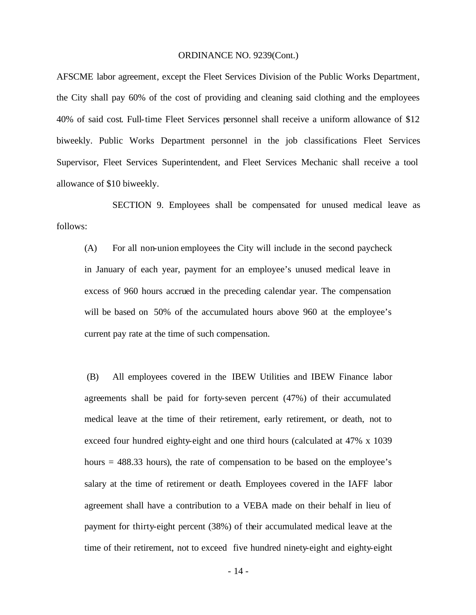AFSCME labor agreement, except the Fleet Services Division of the Public Works Department, the City shall pay 60% of the cost of providing and cleaning said clothing and the employees 40% of said cost. Full-time Fleet Services personnel shall receive a uniform allowance of \$12 biweekly. Public Works Department personnel in the job classifications Fleet Services Supervisor, Fleet Services Superintendent, and Fleet Services Mechanic shall receive a tool allowance of \$10 biweekly.

SECTION 9. Employees shall be compensated for unused medical leave as follows:

(A) For all non-union employees the City will include in the second paycheck in January of each year, payment for an employee's unused medical leave in excess of 960 hours accrued in the preceding calendar year. The compensation will be based on 50% of the accumulated hours above 960 at the employee's current pay rate at the time of such compensation.

(B) All employees covered in the IBEW Utilities and IBEW Finance labor agreements shall be paid for forty-seven percent (47%) of their accumulated medical leave at the time of their retirement, early retirement, or death, not to exceed four hundred eighty-eight and one third hours (calculated at 47% x 1039 hours = 488.33 hours), the rate of compensation to be based on the employee's salary at the time of retirement or death. Employees covered in the IAFF labor agreement shall have a contribution to a VEBA made on their behalf in lieu of payment for thirty-eight percent (38%) of their accumulated medical leave at the time of their retirement, not to exceed five hundred ninety-eight and eighty-eight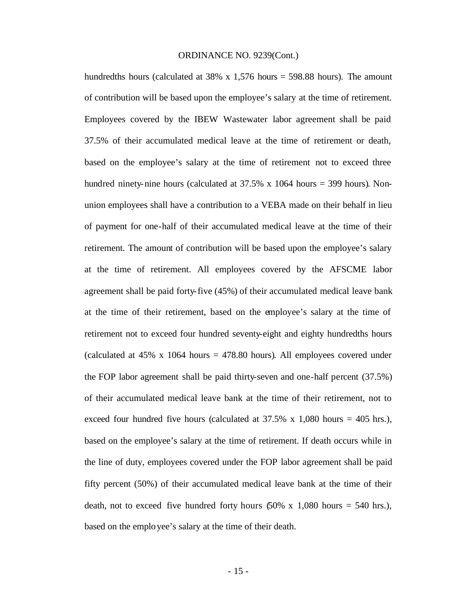hundredths hours (calculated at  $38\% \times 1,576$  hours = 598.88 hours). The amount of contribution will be based upon the employee's salary at the time of retirement. Employees covered by the IBEW Wastewater labor agreement shall be paid 37.5% of their accumulated medical leave at the time of retirement or death, based on the employee's salary at the time of retirement not to exceed three hundred ninety-nine hours (calculated at 37.5% x 1064 hours = 399 hours). Nonunion employees shall have a contribution to a VEBA made on their behalf in lieu of payment for one-half of their accumulated medical leave at the time of their retirement. The amount of contribution will be based upon the employee's salary at the time of retirement. All employees covered by the AFSCME labor agreement shall be paid forty-five (45%) of their accumulated medical leave bank at the time of their retirement, based on the employee's salary at the time of retirement not to exceed four hundred seventy-eight and eighty hundredths hours (calculated at  $45\%$  x  $1064$  hours =  $478.80$  hours). All employees covered under the FOP labor agreement shall be paid thirty-seven and one-half percent (37.5%) of their accumulated medical leave bank at the time of their retirement, not to exceed four hundred five hours (calculated at  $37.5\%$  x 1,080 hours = 405 hrs.), based on the employee's salary at the time of retirement. If death occurs while in the line of duty, employees covered under the FOP labor agreement shall be paid fifty percent (50%) of their accumulated medical leave bank at the time of their death, not to exceed five hundred forty hours  $(50\% \times 1,080)$  hours = 540 hrs.), based on the employee's salary at the time of their death.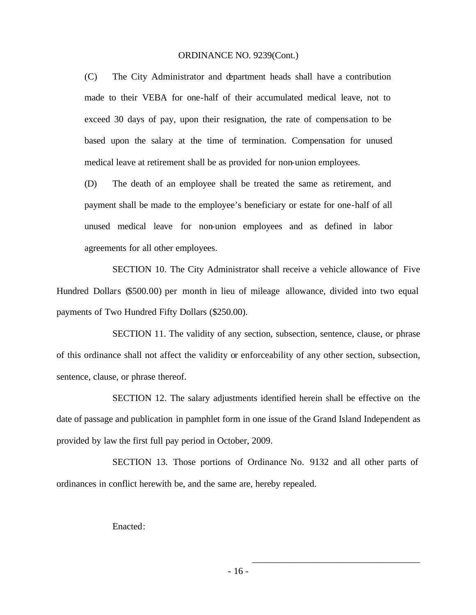(C) The City Administrator and department heads shall have a contribution made to their VEBA for one-half of their accumulated medical leave, not to exceed 30 days of pay, upon their resignation, the rate of compensation to be based upon the salary at the time of termination. Compensation for unused medical leave at retirement shall be as provided for non-union employees.

(D) The death of an employee shall be treated the same as retirement, and payment shall be made to the employee's beneficiary or estate for one-half of all unused medical leave for non-union employees and as defined in labor agreements for all other employees.

SECTION 10. The City Administrator shall receive a vehicle allowance of Five Hundred Dollars (\$500.00) per month in lieu of mileage allowance, divided into two equal payments of Two Hundred Fifty Dollars (\$250.00).

SECTION 11. The validity of any section, subsection, sentence, clause, or phrase of this ordinance shall not affect the validity or enforceability of any other section, subsection, sentence, clause, or phrase thereof.

SECTION 12. The salary adjustments identified herein shall be effective on the date of passage and publication in pamphlet form in one issue of the Grand Island Independent as provided by law the first full pay period in October, 2009.

SECTION 13. Those portions of Ordinance No. 9132 and all other parts of ordinances in conflict herewith be, and the same are, hereby repealed.

Enacted:

\_\_\_\_\_\_\_\_\_\_\_\_\_\_\_\_\_\_\_\_\_\_\_\_\_\_\_\_\_\_\_\_\_\_\_\_